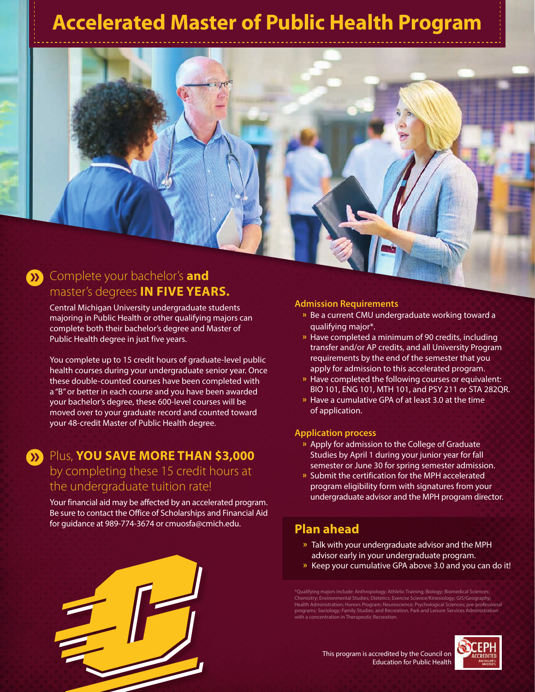# **Accelerated Master of Public Health Program**



Central Michigan University undergraduate students majoring in Public Health or other qualifying majors can complete both their bachelor's degree and Master of Public Health degree in just five years.

You complete up to 15 credit hours of graduate-level public health courses during your undergraduate senior year. Once these double-counted courses have been completed with a "B" or better in each course and you have been awarded your bachelor's degree, these 600-level courses will be moved over to your graduate record and counted toward your 48-credit Master of Public Health degree.

# Plus, **YOU SAVE MORE THAN \$3,000 »** by completing these 15 credit hours at the undergraduate tuition rate!

Your financial aid may be affected by an accelerated program. Be sure to contact the Office of Scholarships and Financial Aid for guidance at 989-774-3674 or cmuosfa@cmich.edu. **Plan ahead**

#### **Admission Requirements**

- **»** Be a current CMU undergraduate working toward a qualifying major\*.
- **»** Have completed a minimum of 90 credits, including transfer and/or AP credits, and all University Program requirements by the end of the semester that you apply for admission to this accelerated program.
- **»** Have completed the following courses or equivalent: BIO 101, ENG 101, MTH 101, and PSY 211 or STA 282QR.
- **»** Have a cumulative GPA of at least 3.0 at the time of application.

#### **Application process**

- **»** Apply for admission to the College of Graduate Studies by April 1 during your junior year for fall semester or June 30 for spring semester admission.
- **»** Submit the certification for the MPH accelerated program eligibility form with signatures from your undergraduate advisor and the MPH program director.

- **»** Talk with your undergraduate advisor and the MPH advisor early in your undergraduate program.
- **»** Keep your cumulative GPA above 3.0 and you can do it!

\*Qualifying majors include: Anthropology; Athletic Training; Biology; Biomedical Sciences;<br>Chemistry; Environmental Studies; Dietetics; Exercise Science/Kinesiology; GIS/Geography;<br>Health Administration; Honors Program; Ne programs; Sociology; Family Studies; and Recreation, Park and Leisure Services Administration with a concentration in Therapeutic Recreation.